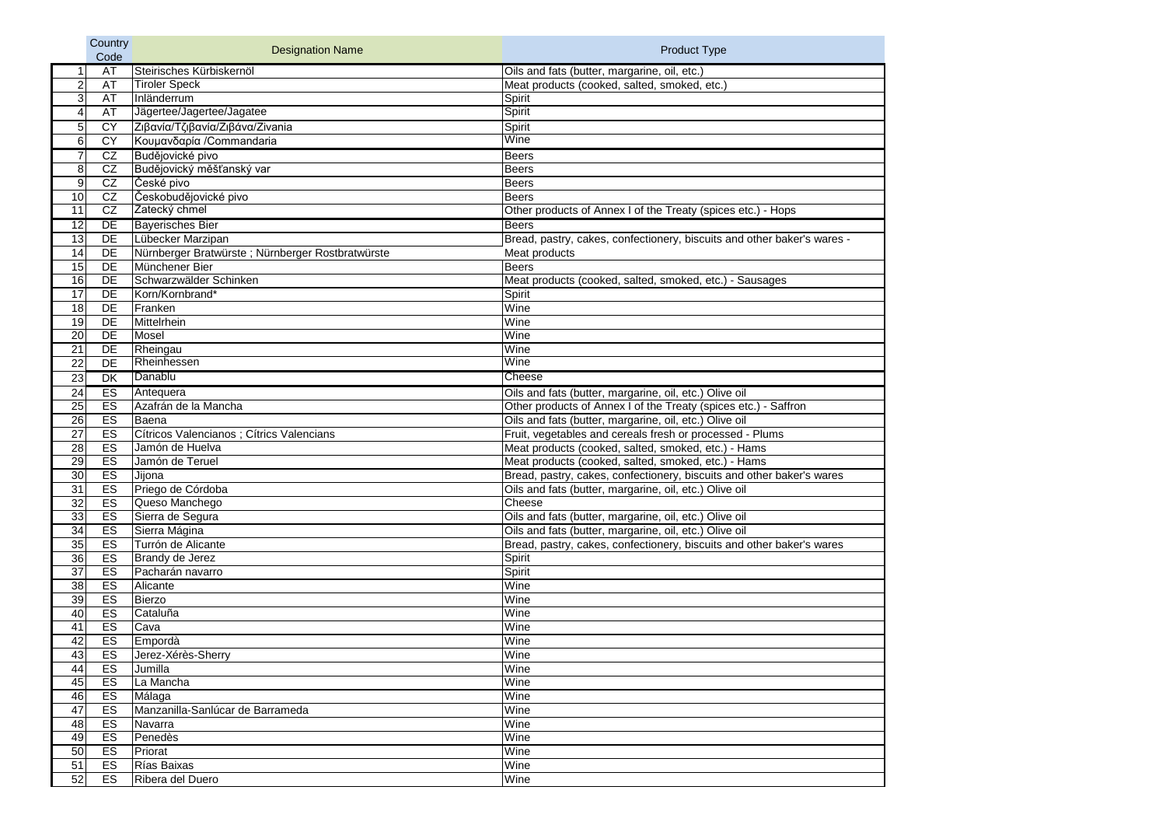|                 | Country   |                                                   |                                                                         |
|-----------------|-----------|---------------------------------------------------|-------------------------------------------------------------------------|
|                 | Code      | <b>Designation Name</b>                           | <b>Product Type</b>                                                     |
|                 | <b>AT</b> | Steirisches Kürbiskernöl                          | Oils and fats (butter, margarine, oil, etc.)                            |
| $\overline{2}$  | <b>AT</b> | <b>Tiroler Speck</b>                              | Meat products (cooked, salted, smoked, etc.)                            |
| 3               | <b>AT</b> | Inländerrum                                       | Spirit                                                                  |
| 4               | <b>AT</b> | Jägertee/Jagertee/Jagatee                         | Spirit                                                                  |
| 5               | <b>CY</b> | Ζιβανία/Τζιβανία/Ζιβάνα/Zivania                   | Spirit                                                                  |
| 6               | <b>CY</b> | Κουμανδαρία /Commandaria                          | Wine                                                                    |
|                 | CZ        | Budějovické pivo                                  | <b>Beers</b>                                                            |
| 8               | CZ        | Budějovický měšťanský var                         | <b>Beers</b>                                                            |
| 9               | <b>CZ</b> | České pivo                                        | <b>Beers</b>                                                            |
| 10              | CZ        | Českobudějovické pivo                             | <b>Beers</b>                                                            |
| 11              | CZ        | Zatecký chmel                                     | Other products of Annex I of the Treaty (spices etc.) - Hops            |
| $\overline{12}$ | DE        | <b>Bayerisches Bier</b>                           | <b>Beers</b>                                                            |
| 13              | DE        | Lübecker Marzipan                                 | Bread, pastry, cakes, confectionery, biscuits and other baker's wares - |
| 14              | DE        | Nürnberger Bratwürste ; Nürnberger Rostbratwürste | Meat products                                                           |
| $\overline{15}$ | DE        | Münchener Bier                                    | <b>Beers</b>                                                            |
| 16              | DE        | Schwarzwälder Schinken                            | Meat products (cooked, salted, smoked, etc.) - Sausages                 |
| 17              | DE        | Korn/Kornbrand*                                   | Spirit                                                                  |
| 18              | DE        | Franken                                           | Wine                                                                    |
| 19              | DE        | Mittelrhein                                       | Wine                                                                    |
| 20              | <b>DE</b> | Mosel                                             | Wine                                                                    |
| 21              | DE        | Rheingau                                          | Wine                                                                    |
| 22              | DE        | Rheinhessen                                       | Wine                                                                    |
| 23              | <b>DK</b> | Danablu                                           | Cheese                                                                  |
| 24              | ES        | Antequera                                         | Oils and fats (butter, margarine, oil, etc.) Olive oil                  |
| 25              | ES        | Azafrán de la Mancha                              | Other products of Annex I of the Treaty (spices etc.) - Saffron         |
| 26              | ES        | Baena                                             | Oils and fats (butter, margarine, oil, etc.) Olive oil                  |
| 27              | ES        | Cítricos Valencianos ; Cítrics Valencians         | Fruit, vegetables and cereals fresh or processed - Plums                |
| $\overline{28}$ | ES        | Jamón de Huelva                                   | Meat products (cooked, salted, smoked, etc.) - Hams                     |
| 29              | ES        | Jamón de Teruel                                   | Meat products (cooked, salted, smoked, etc.) - Hams                     |
| 30              | ES        | Jijona                                            | Bread, pastry, cakes, confectionery, biscuits and other baker's wares   |
| 31              | ES        | Priego de Córdoba                                 | Oils and fats (butter, margarine, oil, etc.) Olive oil                  |
| 32              | ES        | Queso Manchego                                    | Cheese                                                                  |
| 33              | ES        | Sierra de Segura                                  | Oils and fats (butter, margarine, oil, etc.) Olive oil                  |
| 34              | ES        | Sierra Mágina                                     | Oils and fats (butter, margarine, oil, etc.) Olive oil                  |
| 35              | ES        | Turrón de Alicante                                | Bread, pastry, cakes, confectionery, biscuits and other baker's wares   |
| 36              | ES        | Brandy de Jerez                                   | Spirit                                                                  |
| 37              | ES        | Pacharán navarro                                  | Spirit                                                                  |
| 38              | ES        | Alicante                                          | Wine                                                                    |
| 39              | ES        | Bierzo                                            | Wine                                                                    |
| 40              | ES        | Cataluña                                          | Wine                                                                    |
| 41              | ES        | Cava                                              | Wine                                                                    |
| 42              | ES        | Empordà                                           | Wine                                                                    |
| 43              | ES        | Jerez-Xérès-Sherry                                | Wine                                                                    |
| 44              | ES        | Jumilla                                           | Wine                                                                    |
| 45              | ES        | La Mancha                                         | Wine                                                                    |
| 46              | ES        | Málaga                                            | Wine                                                                    |
| 47              | ES        | Manzanilla-Sanlúcar de Barrameda                  | Wine                                                                    |
| 48              | ES        | Navarra                                           | Wine                                                                    |
| 49              | ES        | Penedès                                           | Wine                                                                    |
| 50              | ES        | Priorat                                           | Wine                                                                    |
| 51              | ES        | Rías Baixas                                       | Wine                                                                    |
| 52              | ES        | Ribera del Duero                                  | Wine                                                                    |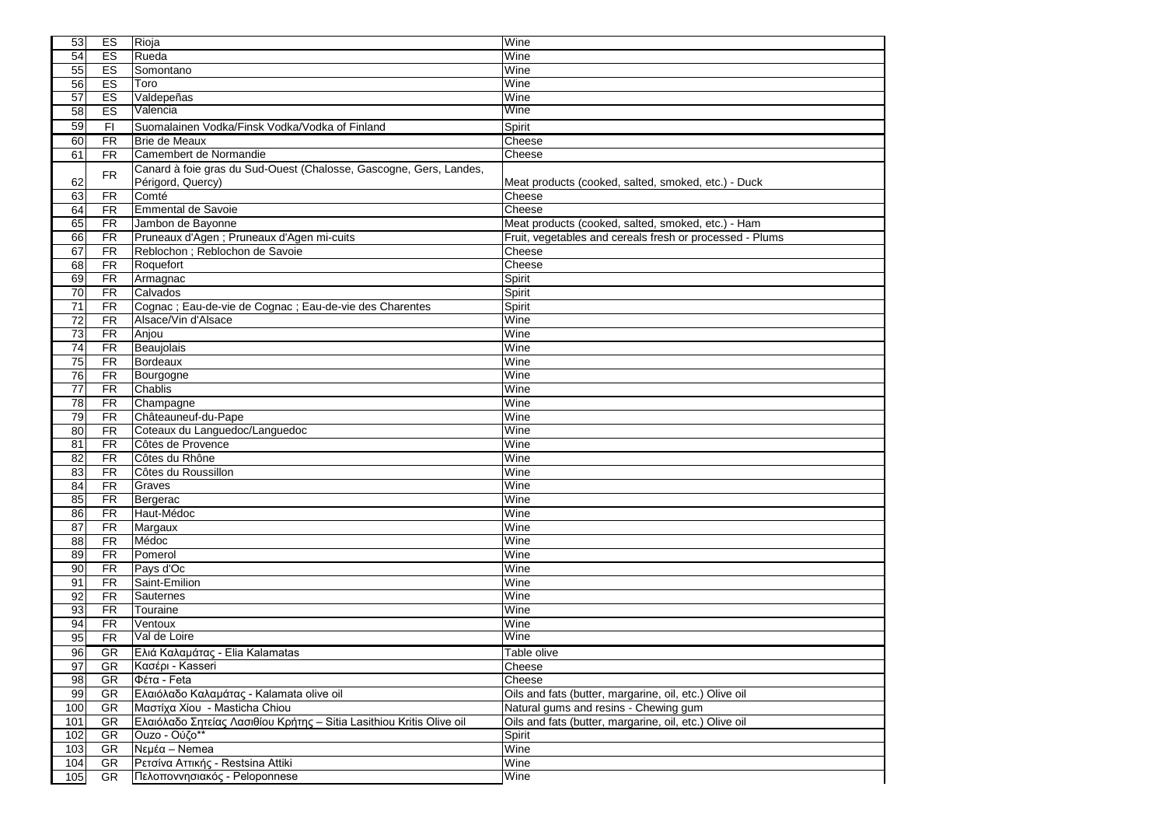| 53              | ES                     | Rioja                                                                                 | Wine                                                     |
|-----------------|------------------------|---------------------------------------------------------------------------------------|----------------------------------------------------------|
| $\overline{54}$ | ES                     | Rueda                                                                                 | Wine                                                     |
| $\overline{55}$ | ES                     | Somontano                                                                             | Wine                                                     |
| 56              | ES                     | Toro                                                                                  | Wine                                                     |
| 57              | ES                     | Valdepeñas                                                                            | Wine                                                     |
| 58              | ES                     | Valencia                                                                              | Wine                                                     |
| 59              | F1                     | Suomalainen Vodka/Finsk Vodka/Vodka of Finland                                        | Spirit                                                   |
| 60              | <b>FR</b>              | Brie de Meaux                                                                         | Cheese                                                   |
| 61              | <b>FR</b>              | Camembert de Normandie                                                                | Cheese                                                   |
|                 |                        | Canard à foie gras du Sud-Ouest (Chalosse, Gascogne, Gers, Landes,                    |                                                          |
| 62              | <b>FR</b>              | Périgord, Quercy)                                                                     | Meat products (cooked, salted, smoked, etc.) - Duck      |
| 63              | <b>FR</b>              | Comté                                                                                 | Cheese                                                   |
| 64              | <b>FR</b>              | <b>Emmental de Savoie</b>                                                             | Cheese                                                   |
| 65              | <b>FR</b>              | Jambon de Bayonne                                                                     | Meat products (cooked, salted, smoked, etc.) - Ham       |
| 66              | <b>FR</b>              | Pruneaux d'Agen ; Pruneaux d'Agen mi-cuits                                            | Fruit, vegetables and cereals fresh or processed - Plums |
| 67              | <b>FR</b>              | Reblochon ; Reblochon de Savoie                                                       | Cheese                                                   |
| 68              | <b>FR</b>              | Roquefort                                                                             | Cheese                                                   |
| 69              | <b>FR</b>              | Armagnac                                                                              | Spirit                                                   |
| $\overline{70}$ | <b>FR</b>              | Calvados                                                                              | Spirit                                                   |
| 71              | <b>FR</b>              | Cognac ; Eau-de-vie de Cognac ; Eau-de-vie des Charentes                              | Spirit                                                   |
| 72              | <b>FR</b>              | Alsace/Vin d'Alsace                                                                   | Wine                                                     |
| $\overline{73}$ | <b>FR</b>              | Anjou                                                                                 | Wine                                                     |
| 74              | <b>FR</b>              | Beaujolais                                                                            | Wine                                                     |
| $\overline{75}$ | <b>FR</b>              | Bordeaux                                                                              | Wine                                                     |
| 76              | <b>FR</b>              | Bourgogne                                                                             | Wine                                                     |
| $\overline{77}$ | <b>FR</b>              | Chablis                                                                               | Wine                                                     |
| 78              | <b>FR</b>              | Champagne                                                                             | Wine                                                     |
| 79              | <b>FR</b>              | Châteauneuf-du-Pape                                                                   | Wine                                                     |
| 80              | <b>FR</b>              | Coteaux du Languedoc/Languedoc                                                        | Wine                                                     |
| 81              | <b>FR</b>              | Côtes de Provence                                                                     | Wine                                                     |
| 82              | <b>FR</b>              | Côtes du Rhône                                                                        | Wine                                                     |
| 83              | <b>FR</b>              | Côtes du Roussillon                                                                   | Wine                                                     |
| 84              | <b>FR</b>              | Graves                                                                                | Wine                                                     |
| 85              | <b>FR</b>              | Bergerac                                                                              | Wine                                                     |
| 86              | <b>FR</b>              | Haut-Médoc                                                                            | Wine                                                     |
| $\overline{87}$ | <b>FR</b>              | Margaux                                                                               | Wine                                                     |
| 88              | <b>FR</b>              | Médoc                                                                                 | Wine                                                     |
| 89              | <b>FR</b>              | Pomerol                                                                               | Wine                                                     |
| 90              | <b>FR</b>              | Pays d'Oc                                                                             | Wine                                                     |
| 91              | <b>FR</b>              | Saint-Emilion                                                                         | Wine                                                     |
| 92              | <b>FR</b>              | <b>Sauternes</b>                                                                      | Wine                                                     |
| 93              | <b>FR</b>              | Touraine                                                                              | Wine                                                     |
| 94              | <b>FR</b>              | Ventoux<br>Val de Loire                                                               | Wine<br>Wine                                             |
| 95              | <b>FR</b>              |                                                                                       |                                                          |
| 96              | <b>GR</b>              | Ελιά Καλαμάτας - Elia Kalamatas                                                       | Table olive                                              |
| 97              | <b>GR</b>              | Κασέρι - Kasseri                                                                      | Cheese                                                   |
| 98              | <b>GR</b>              | Φέτα - Feta                                                                           | Cheese                                                   |
| 99              | <b>GR</b>              | Ελαιόλαδο Καλαμάτας - Kalamata olive oil                                              | Oils and fats (butter, margarine, oil, etc.) Olive oil   |
| 100             | <b>GR</b>              | Μαστίχα Χίου - Masticha Chiou                                                         | Natural gums and resins - Chewing gum                    |
| 101             | <b>GR</b><br><b>GR</b> | Ελαιόλαδο Σητείας Λασιθίου Κρήτης – Sitia Lasithiou Kritis Olive oil<br>Ouzo - Ούζο** | Oils and fats (butter, margarine, oil, etc.) Olive oil   |
| 102             |                        | $\sqrt{\text{Nεμέα}} - \text{Nemea}$                                                  | Spirit<br>Wine                                           |
| 103<br>104      | <b>GR</b><br><b>GR</b> | Ρετσίνα Αττικής - Restsina Attiki                                                     | Wine                                                     |
| 105             | <b>GR</b>              | Πελοποννησιακός - Peloponnese                                                         | Wine                                                     |
|                 |                        |                                                                                       |                                                          |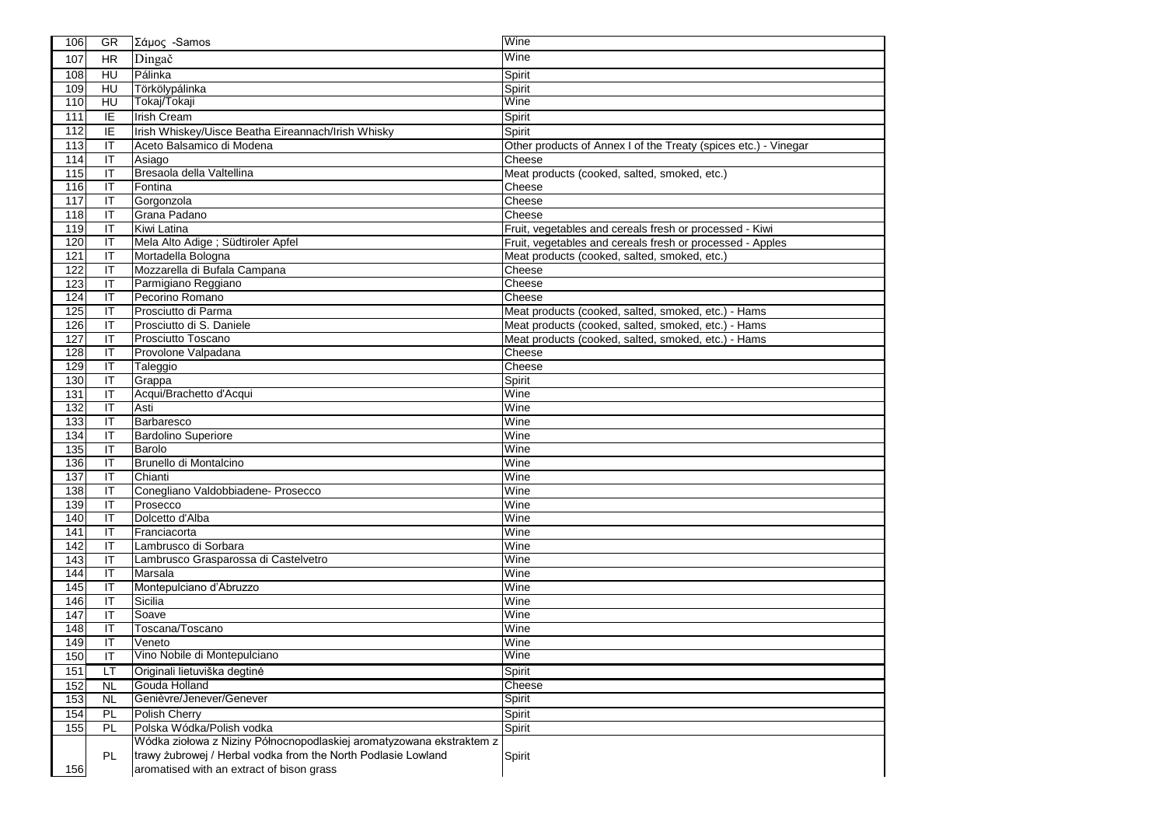| 106 | <b>GR</b>                         | Σάμος - Samos                                                        | Wine                                                            |
|-----|-----------------------------------|----------------------------------------------------------------------|-----------------------------------------------------------------|
| 107 | <b>HR</b>                         | Dingač                                                               | Wine                                                            |
| 108 | HU                                | Pálinka                                                              | Spirit                                                          |
| 109 | HU                                | Törkölypálinka                                                       | Spirit                                                          |
| 110 | HU                                | Tokaj/Tokaji                                                         | Wine                                                            |
| 111 | IE                                | <b>Irish Cream</b>                                                   | Spirit                                                          |
| 112 | IE                                | Irish Whiskey/Uisce Beatha Eireannach/Irish Whisky                   | Spirit                                                          |
| 113 | IT                                | Aceto Balsamico di Modena                                            | Other products of Annex I of the Treaty (spices etc.) - Vinegar |
| 114 | IT                                | Asiago                                                               | Cheese                                                          |
| 115 | IT                                | Bresaola della Valtellina                                            | Meat products (cooked, salted, smoked, etc.)                    |
| 116 | IT                                | Fontina                                                              | Cheese                                                          |
| 117 | IT                                | Gorgonzola                                                           | Cheese                                                          |
| 118 | IT                                | Grana Padano                                                         | Cheese                                                          |
| 119 | IT                                | Kiwi Latina                                                          | Fruit, vegetables and cereals fresh or processed - Kiwi         |
| 120 | IT                                | Mela Alto Adige ; Südtiroler Apfel                                   | Fruit, vegetables and cereals fresh or processed - Apples       |
| 121 | IT                                | Mortadella Bologna                                                   | Meat products (cooked, salted, smoked, etc.)                    |
| 122 | IT                                | Mozzarella di Bufala Campana                                         | Cheese                                                          |
| 123 | IT                                | Parmigiano Reggiano                                                  | Cheese                                                          |
| 124 | IT                                | Pecorino Romano                                                      | Cheese                                                          |
| 125 | IT                                | Prosciutto di Parma                                                  | Meat products (cooked, salted, smoked, etc.) - Hams             |
| 126 | IT                                | Prosciutto di S. Daniele                                             | Meat products (cooked, salted, smoked, etc.) - Hams             |
| 127 | IT                                | Prosciutto Toscano                                                   | Meat products (cooked, salted, smoked, etc.) - Hams             |
| 128 | IT                                | Provolone Valpadana                                                  | Cheese                                                          |
| 129 | $\mathsf{I}\mathsf{T}$            | Taleggio                                                             | Cheese                                                          |
| 130 | IT                                | Grappa                                                               | Spirit                                                          |
| 131 | IT                                | Acqui/Brachetto d'Acqui                                              | Wine                                                            |
| 132 | IT                                | Asti                                                                 | Wine                                                            |
| 133 | IT                                | Barbaresco                                                           | Wine                                                            |
| 134 | IT                                | <b>Bardolino Superiore</b>                                           | Wine                                                            |
| 135 | IT                                | Barolo                                                               | Wine                                                            |
| 136 | IT                                | Brunello di Montalcino                                               | Wine                                                            |
| 137 | IT                                | Chianti                                                              | Wine                                                            |
| 138 | IT                                | Conegliano Valdobbiadene- Prosecco                                   | Wine                                                            |
| 139 | IT                                | Prosecco                                                             | Wine                                                            |
| 140 | IT                                | Dolcetto d'Alba                                                      | Wine                                                            |
| 141 | $\overline{\mathsf{I}\mathsf{T}}$ | Franciacorta                                                         | Wine                                                            |
| 142 | IT                                | Lambrusco di Sorbara                                                 | Wine                                                            |
| 143 | IT                                | Lambrusco Grasparossa di Castelvetro                                 | Wine                                                            |
| 144 | IT                                | Marsala                                                              | Wine                                                            |
| 145 | IT                                | Montepulciano d'Abruzzo                                              | Wine                                                            |
| 146 | IT                                | Sicilia                                                              | Wine                                                            |
| 147 | IT                                | Soave                                                                | Wine                                                            |
| 148 | IT                                | Toscana/Toscano                                                      | Wine                                                            |
| 149 | IT                                | Veneto<br>Vino Nobile di Montepulciano                               | Wine<br>Wine                                                    |
| 150 | IT                                |                                                                      |                                                                 |
| 151 | LT                                | Originali lietuviška degtinė                                         | Spirit                                                          |
| 152 | <b>NL</b>                         | Gouda Holland<br>Genièvre/Jenever/Genever                            | Cheese                                                          |
| 153 | <b>NL</b>                         |                                                                      | Spirit                                                          |
| 154 | PL                                | <b>Polish Cherry</b>                                                 | Spirit                                                          |
| 155 | PL                                | Polska Wódka/Polish vodka                                            | Spirit                                                          |
|     |                                   | Wódka ziołowa z Niziny Północnopodlaskiej aromatyzowana ekstraktem z |                                                                 |
|     | PL                                | trawy żubrowej / Herbal vodka from the North Podlasie Lowland        | Spirit                                                          |
| 156 |                                   | aromatised with an extract of bison grass                            |                                                                 |